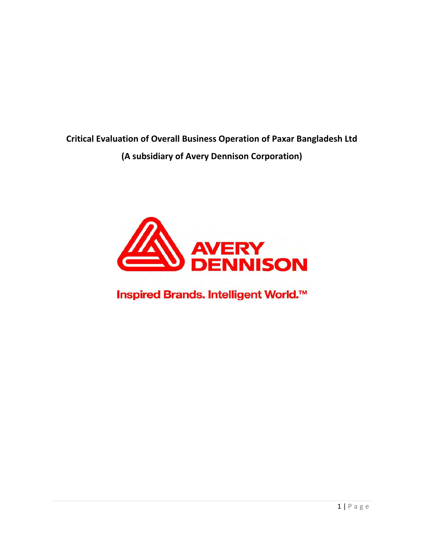**Critical Evaluation of Overall Business Operation of Paxar Bangladesh Ltd (A subsidiary of Avery Dennison Corporation)**



Inspired Brands. Intelligent World.<sup>™</sup>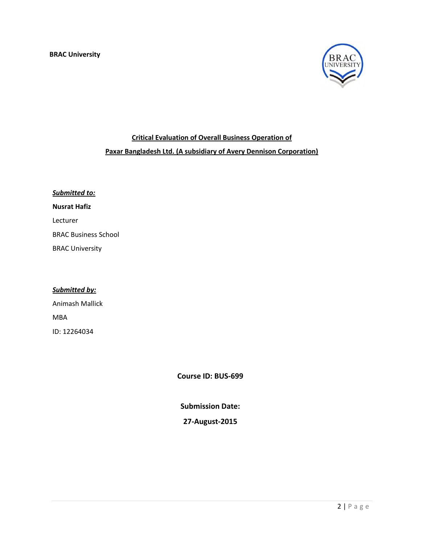

# **Critical Evaluation of Overall Business Operation of Paxar Bangladesh Ltd. (A subsidiary of Avery Dennison Corporation)**

| <b>Submitted to:</b>        |  |  |  |  |
|-----------------------------|--|--|--|--|
| <b>Nusrat Hafiz</b>         |  |  |  |  |
| Lecturer                    |  |  |  |  |
| <b>BRAC Business School</b> |  |  |  |  |
| <b>BRAC University</b>      |  |  |  |  |

## *Submitted by:*

Animash Mallick MBA ID: 12264034

**Course ID: BUS‐699**

**Submission Date:**

## **27‐August‐2015**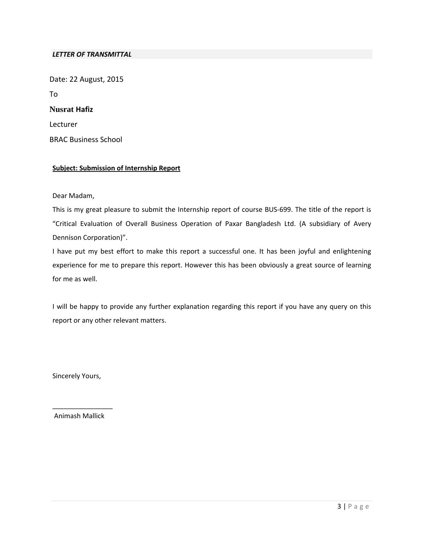#### *LETTER OF TRANSMITTAL*

Date: 22 August, 2015 To **Nusrat Hafiz** Lecturer BRAC Business School

#### **Subject: Submission of Internship Report**

Dear Madam,

This is my great pleasure to submit the Internship report of course BUS‐699. The title of the report is "Critical Evaluation of Overall Business Operation of Paxar Bangladesh Ltd. (A subsidiary of Avery Dennison Corporation)".

I have put my best effort to make this report a successful one. It has been joyful and enlightening experience for me to prepare this report. However this has been obviously a great source of learning for me as well.

I will be happy to provide any further explanation regarding this report if you have any query on this report or any other relevant matters.

Sincerely Yours,

\_\_\_\_\_\_\_\_\_\_\_\_\_\_\_\_ Animash Mallick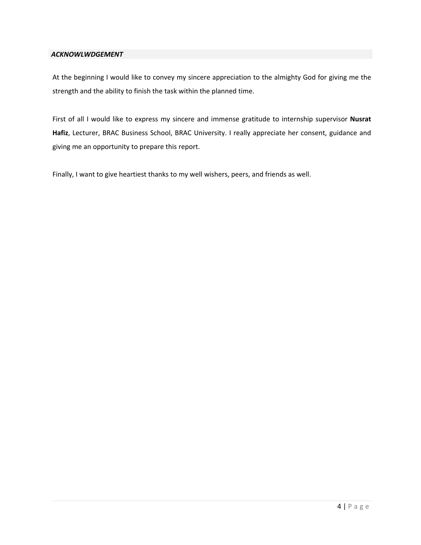#### *ACKNOWLWDGEMENT*

At the beginning I would like to convey my sincere appreciation to the almighty God for giving me the strength and the ability to finish the task within the planned time.

First of all I would like to express my sincere and immense gratitude to internship supervisor **Nusrat Hafiz**, Lecturer, BRAC Business School, BRAC University. I really appreciate her consent, guidance and giving me an opportunity to prepare this report.

Finally, I want to give heartiest thanks to my well wishers, peers, and friends as well.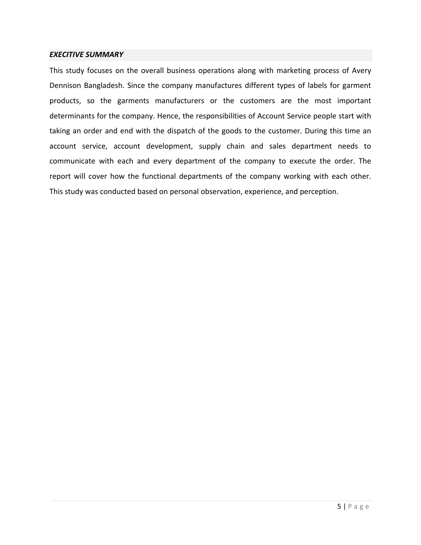#### *EXECITIVE SUMMARY*

This study focuses on the overall business operations along with marketing process of Avery Dennison Bangladesh. Since the company manufactures different types of labels for garment products, so the garments manufacturers or the customers are the most important determinants for the company. Hence, the responsibilities of Account Service people start with taking an order and end with the dispatch of the goods to the customer. During this time an account service, account development, supply chain and sales department needs to communicate with each and every department of the company to execute the order. The report will cover how the functional departments of the company working with each other. This study was conducted based on personal observation, experience, and perception.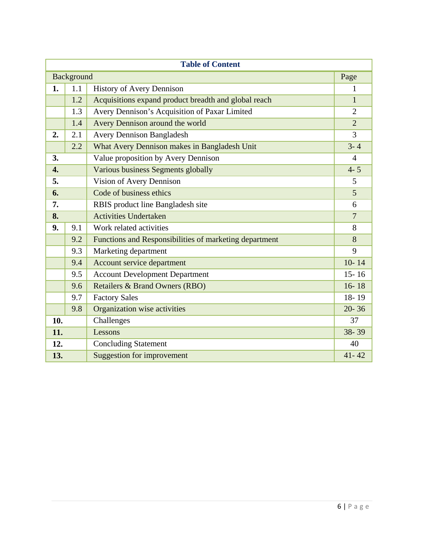| <b>Table of Content</b> |                                                      |                                                        |                |  |  |  |  |  |
|-------------------------|------------------------------------------------------|--------------------------------------------------------|----------------|--|--|--|--|--|
| <b>Background</b>       |                                                      |                                                        |                |  |  |  |  |  |
| 1.                      | 1.1<br><b>History of Avery Dennison</b>              |                                                        |                |  |  |  |  |  |
|                         | 1.2                                                  | Acquisitions expand product breadth and global reach   |                |  |  |  |  |  |
|                         | Avery Dennison's Acquisition of Paxar Limited<br>1.3 |                                                        | $\overline{2}$ |  |  |  |  |  |
|                         | 1.4                                                  | Avery Dennison around the world                        | $\overline{2}$ |  |  |  |  |  |
| 2.                      | 2.1                                                  | <b>Avery Dennison Bangladesh</b>                       | $\overline{3}$ |  |  |  |  |  |
|                         | 2.2                                                  | What Avery Dennison makes in Bangladesh Unit           |                |  |  |  |  |  |
| 3.                      |                                                      | Value proposition by Avery Dennison                    |                |  |  |  |  |  |
| $\overline{4}$ .        |                                                      | Various business Segments globally                     |                |  |  |  |  |  |
| 5.                      |                                                      | Vision of Avery Dennison                               | 5              |  |  |  |  |  |
| 6.                      |                                                      | Code of business ethics                                | 5              |  |  |  |  |  |
| 7.                      | RBIS product line Bangladesh site                    | 6                                                      |                |  |  |  |  |  |
| 8.                      |                                                      | <b>Activities Undertaken</b>                           |                |  |  |  |  |  |
| 9.                      | 9.1                                                  | Work related activities                                | 8              |  |  |  |  |  |
|                         | 9.2                                                  | Functions and Responsibilities of marketing department | 8              |  |  |  |  |  |
|                         | 9.3                                                  | Marketing department                                   | 9              |  |  |  |  |  |
|                         | 9.4                                                  | Account service department                             | $10 - 14$      |  |  |  |  |  |
|                         | 9.5                                                  | <b>Account Development Department</b>                  | $15 - 16$      |  |  |  |  |  |
|                         | 9.6                                                  | <b>Retailers &amp; Brand Owners (RBO)</b>              | $16 - 18$      |  |  |  |  |  |
|                         | 9.7                                                  | <b>Factory Sales</b>                                   | 18-19          |  |  |  |  |  |
|                         | 9.8                                                  | Organization wise activities                           | $20 - 36$      |  |  |  |  |  |
| 10.                     |                                                      | Challenges                                             | 37             |  |  |  |  |  |
| 11.                     |                                                      | Lessons                                                | 38-39          |  |  |  |  |  |
| 12.                     |                                                      | <b>Concluding Statement</b>                            | 40             |  |  |  |  |  |
| 13.                     |                                                      | <b>Suggestion for improvement</b>                      | $41 - 42$      |  |  |  |  |  |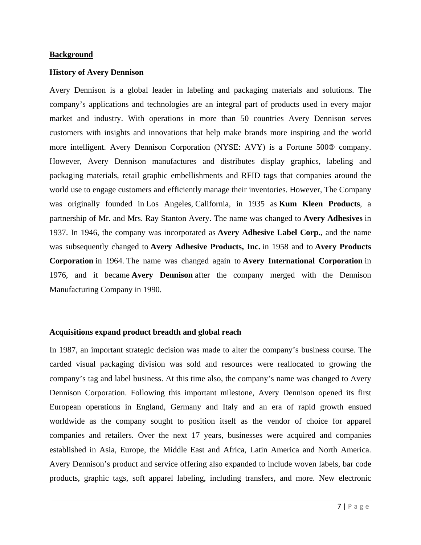#### **Background**

#### **History of Avery Dennison**

Avery Dennison is a global leader in labeling and packaging materials and solutions. The company's applications and technologies are an integral part of products used in every major market and industry. With operations in more than 50 countries Avery Dennison serves customers with insights and innovations that help make brands more inspiring and the world more intelligent. Avery Dennison Corporation (NYSE: AVY) is a Fortune 500® company. However, Avery Dennison manufactures and distributes display graphics, labeling and packaging materials, retail graphic embellishments and RFID tags that companies around the world use to engage customers and efficiently manage their inventories. However, The Company was originally founded in Los Angeles, California, in 1935 as **Kum Kleen Products**, a partnership of Mr. and Mrs. Ray Stanton Avery. The name was changed to **Avery Adhesives** in 1937. In 1946, the company was incorporated as **Avery Adhesive Label Corp.**, and the name was subsequently changed to **Avery Adhesive Products, Inc.** in 1958 and to **Avery Products Corporation** in 1964. The name was changed again to **Avery International Corporation** in 1976, and it became **Avery Dennison** after the company merged with the Dennison Manufacturing Company in 1990.

#### **Acquisitions expand product breadth and global reach**

In 1987, an important strategic decision was made to alter the company's business course. The carded visual packaging division was sold and resources were reallocated to growing the company's tag and label business. At this time also, the company's name was changed to Avery Dennison Corporation. Following this important milestone, Avery Dennison opened its first European operations in England, Germany and Italy and an era of rapid growth ensued worldwide as the company sought to position itself as the vendor of choice for apparel companies and retailers. Over the next 17 years, businesses were acquired and companies established in Asia, Europe, the Middle East and Africa, Latin America and North America. Avery Dennison's product and service offering also expanded to include woven labels, bar code products, graphic tags, soft apparel labeling, including transfers, and more. New electronic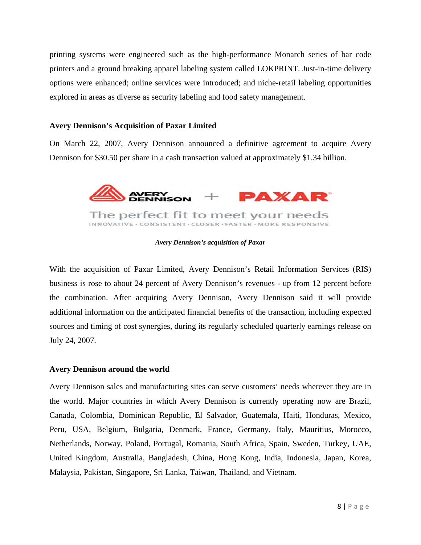printing systems were engineered such as the high-performance Monarch series of bar code printers and a ground breaking apparel labeling system called LOKPRINT. Just-in-time delivery options were enhanced; online services were introduced; and niche-retail labeling opportunities explored in areas as diverse as security labeling and food safety management.

#### **Avery Dennison's Acquisition of Paxar Limited**

On March 22, 2007, Avery Dennison announced a definitive agreement to acquire Avery Dennison for \$30.50 per share in a cash transaction valued at approximately \$1.34 billion.



*Avery Dennison's acquisition of Paxar*

With the acquisition of Paxar Limited, Avery Dennison's Retail Information Services (RIS) business is rose to about 24 percent of Avery Dennison's revenues - up from 12 percent before the combination. After acquiring Avery Dennison, Avery Dennison said it will provide additional information on the anticipated financial benefits of the transaction, including expected sources and timing of cost synergies, during its regularly scheduled quarterly earnings release on July 24, 2007.

#### **Avery Dennison around the world**

Avery Dennison sales and manufacturing sites can serve customers' needs wherever they are in the world. Major countries in which Avery Dennison is currently operating now are Brazil, Canada, Colombia, Dominican Republic, El Salvador, Guatemala, Haiti, Honduras, Mexico, Peru, USA, Belgium, Bulgaria, Denmark, France, Germany, Italy, Mauritius, Morocco, Netherlands, Norway, Poland, Portugal, Romania, South Africa, Spain, Sweden, Turkey, UAE, United Kingdom, Australia, Bangladesh, China, Hong Kong, India, Indonesia, Japan, Korea, Malaysia, Pakistan, Singapore, Sri Lanka, Taiwan, Thailand, and Vietnam.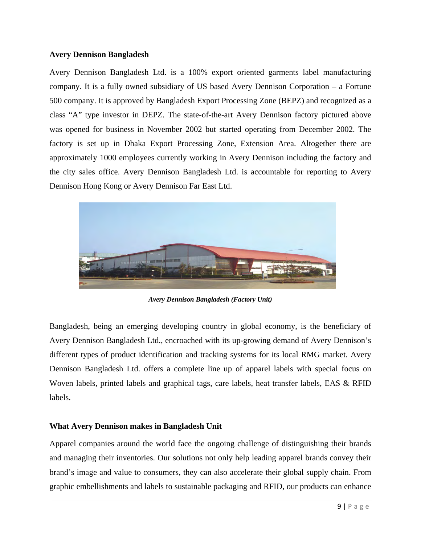#### **Avery Dennison Bangladesh**

Avery Dennison Bangladesh Ltd. is a 100% export oriented garments label manufacturing company. It is a fully owned subsidiary of US based Avery Dennison Corporation – a Fortune 500 company. It is approved by Bangladesh Export Processing Zone (BEPZ) and recognized as a class "A" type investor in DEPZ. The state-of-the-art Avery Dennison factory pictured above was opened for business in November 2002 but started operating from December 2002. The factory is set up in Dhaka Export Processing Zone, Extension Area. Altogether there are approximately 1000 employees currently working in Avery Dennison including the factory and the city sales office. Avery Dennison Bangladesh Ltd. is accountable for reporting to Avery Dennison Hong Kong or Avery Dennison Far East Ltd.



*Avery Dennison Bangladesh (Factory Unit)*

Bangladesh, being an emerging developing country in global economy, is the beneficiary of Avery Dennison Bangladesh Ltd., encroached with its up-growing demand of Avery Dennison's different types of product identification and tracking systems for its local RMG market. Avery Dennison Bangladesh Ltd. offers a complete line up of apparel labels with special focus on Woven labels, printed labels and graphical tags, care labels, heat transfer labels, EAS & RFID labels.

#### **What Avery Dennison makes in Bangladesh Unit**

Apparel companies around the world face the ongoing challenge of distinguishing their brands and managing their inventories. Our solutions not only help leading apparel brands convey their brand's image and value to consumers, they can also accelerate their global supply chain. From graphic embellishments and labels to sustainable packaging and RFID, our products can enhance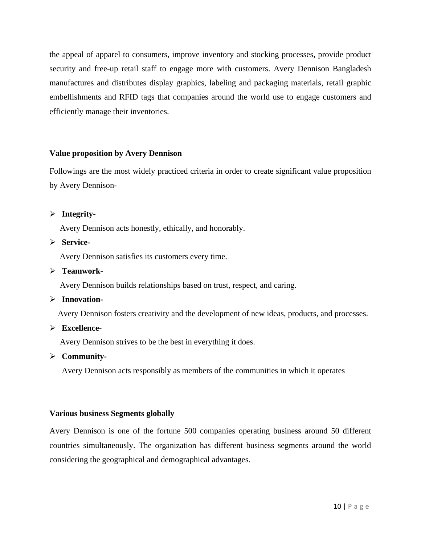the appeal of apparel to consumers, improve inventory and stocking processes, provide product security and free-up retail staff to engage more with customers. Avery Dennison Bangladesh manufactures and distributes display graphics, labeling and packaging materials, retail graphic embellishments and RFID tags that companies around the world use to engage customers and efficiently manage their inventories.

#### **Value proposition by Avery Dennison**

Followings are the most widely practiced criteria in order to create significant value proposition by Avery Dennison-

#### **Integrity-**

Avery Dennison acts honestly, ethically, and honorably.

#### **Service-**

Avery Dennison satisfies its customers every time.

#### **Teamwork-**

Avery Dennison builds relationships based on trust, respect, and caring.

## **Innovation-**

Avery Dennison fosters creativity and the development of new ideas, products, and processes.

#### **Excellence-**

Avery Dennison strives to be the best in everything it does.

#### **Community-**

Avery Dennison acts responsibly as members of the communities in which it operates

## **Various business Segments globally**

Avery Dennison is one of the fortune 500 companies operating business around 50 different countries simultaneously. The organization has different business segments around the world considering the geographical and demographical advantages.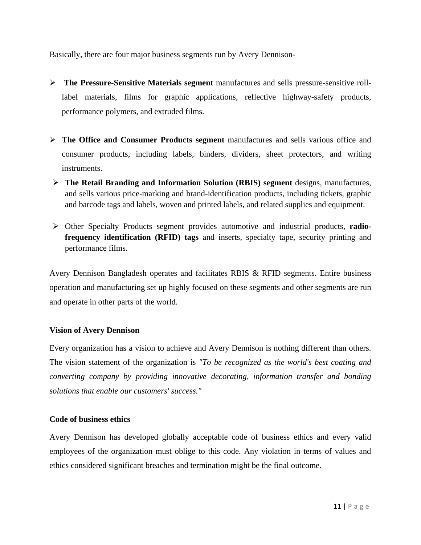Basically, there are four major business segments run by Avery Dennison-

- **The Pressure-Sensitive Materials segment** manufactures and sells pressure-sensitive rolllabel materials, films for graphic applications, reflective highway-safety products, performance polymers, and extruded films.
- **The Office and Consumer Products segment** manufactures and sells various office and consumer products, including labels, binders, dividers, sheet protectors, and writing instruments.
- **The Retail Branding and Information Solution (RBIS) segment** designs, manufactures, and sells various price-marking and brand-identification products, including tickets, graphic and barcode tags and labels, woven and printed labels, and related supplies and equipment.
- Other Specialty Products segment provides automotive and industrial products, **radiofrequency identification (RFID) tags** and inserts, specialty tape, security printing and performance films.

Avery Dennison Bangladesh operates and facilitates RBIS & RFID segments. Entire business operation and manufacturing set up highly focused on these segments and other segments are run and operate in other parts of the world.

## **Vision of Avery Dennison**

Every organization has a vision to achieve and Avery Dennison is nothing different than others. The vision statement of the organization is *"To be recognized as the world's best coating and converting company by providing innovative decorating, information transfer and bonding solutions that enable our customers' success."*

#### **Code of business ethics**

Avery Dennison has developed globally acceptable code of business ethics and every valid employees of the organization must oblige to this code. Any violation in terms of values and ethics considered significant breaches and termination might be the final outcome.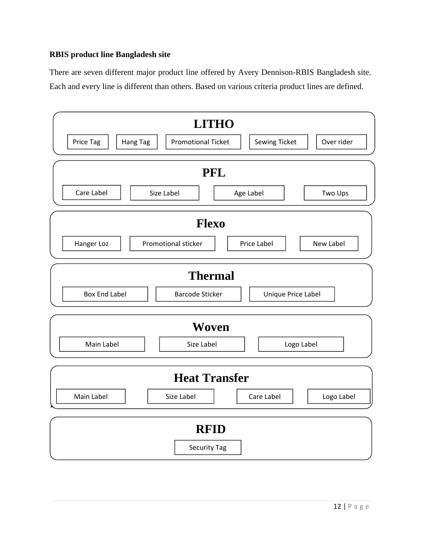## **RBIS product line Bangladesh site**

There are seven different major product line offered by Avery Dennison-RBIS Bangladesh site. Each and every line is different than others. Based on various criteria product lines are defined.

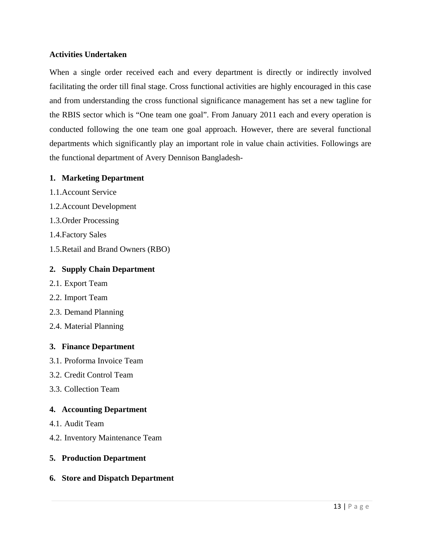#### **Activities Undertaken**

When a single order received each and every department is directly or indirectly involved facilitating the order till final stage. Cross functional activities are highly encouraged in this case and from understanding the cross functional significance management has set a new tagline for the RBIS sector which is "One team one goal". From January 2011 each and every operation is conducted following the one team one goal approach. However, there are several functional departments which significantly play an important role in value chain activities. Followings are the functional department of Avery Dennison Bangladesh-

#### **1. Marketing Department**

- 1.1.Account Service
- 1.2.Account Development
- 1.3.Order Processing
- 1.4.Factory Sales
- 1.5.Retail and Brand Owners (RBO)

#### **2. Supply Chain Department**

- 2.1. Export Team
- 2.2. Import Team
- 2.3. Demand Planning
- 2.4. Material Planning

#### **3. Finance Department**

- 3.1. Proforma Invoice Team
- 3.2. Credit Control Team
- 3.3. Collection Team

#### **4. Accounting Department**

- 4.1. Audit Team
- 4.2. Inventory Maintenance Team

#### **5. Production Department**

#### **6. Store and Dispatch Department**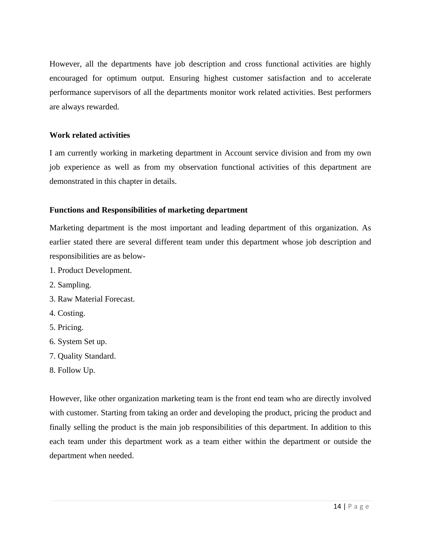However, all the departments have job description and cross functional activities are highly encouraged for optimum output. Ensuring highest customer satisfaction and to accelerate performance supervisors of all the departments monitor work related activities. Best performers are always rewarded.

#### **Work related activities**

I am currently working in marketing department in Account service division and from my own job experience as well as from my observation functional activities of this department are demonstrated in this chapter in details.

## **Functions and Responsibilities of marketing department**

Marketing department is the most important and leading department of this organization. As earlier stated there are several different team under this department whose job description and responsibilities are as below-

- 1. Product Development.
- 2. Sampling.
- 3. Raw Material Forecast.
- 4. Costing.
- 5. Pricing.
- 6. System Set up.
- 7. Quality Standard.
- 8. Follow Up.

However, like other organization marketing team is the front end team who are directly involved with customer. Starting from taking an order and developing the product, pricing the product and finally selling the product is the main job responsibilities of this department. In addition to this each team under this department work as a team either within the department or outside the department when needed.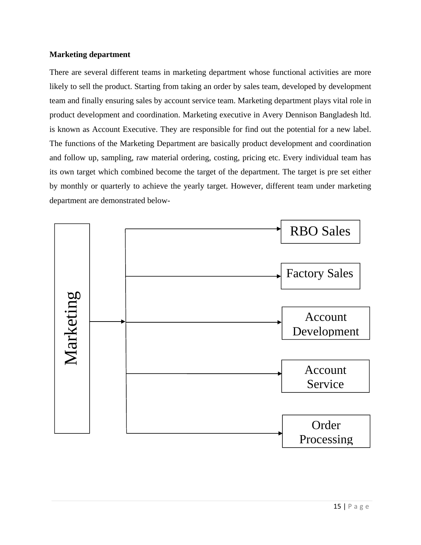#### **Marketing department**

There are several different teams in marketing department whose functional activities are more likely to sell the product. Starting from taking an order by sales team, developed by development team and finally ensuring sales by account service team. Marketing department plays vital role in product development and coordination. Marketing executive in Avery Dennison Bangladesh ltd. is known as Account Executive. They are responsible for find out the potential for a new label. The functions of the Marketing Department are basically product development and coordination and follow up, sampling, raw material ordering, costing, pricing etc. Every individual team has its own target which combined become the target of the department. The target is pre set either by monthly or quarterly to achieve the yearly target. However, different team under marketing department are demonstrated below-

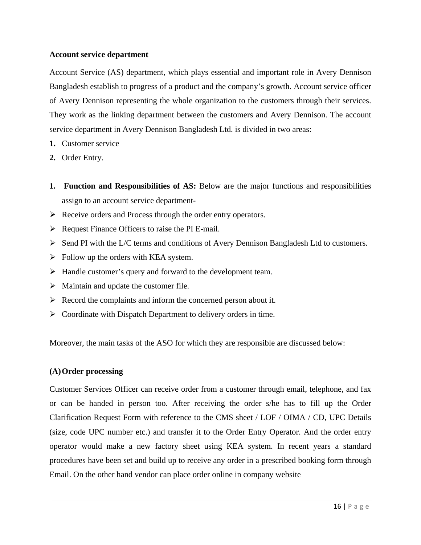#### **Account service department**

Account Service (AS) department, which plays essential and important role in Avery Dennison Bangladesh establish to progress of a product and the company's growth. Account service officer of Avery Dennison representing the whole organization to the customers through their services. They work as the linking department between the customers and Avery Dennison. The account service department in Avery Dennison Bangladesh Ltd. is divided in two areas:

- **1.** Customer service
- **2.** Order Entry.
- **1. Function and Responsibilities of AS:** Below are the major functions and responsibilities assign to an account service department-
- $\triangleright$  Receive orders and Process through the order entry operators.
- $\triangleright$  Request Finance Officers to raise the PI E-mail.
- $\triangleright$  Send PI with the L/C terms and conditions of Avery Dennison Bangladesh Ltd to customers.
- $\triangleright$  Follow up the orders with KEA system.
- $\triangleright$  Handle customer's query and forward to the development team.
- $\triangleright$  Maintain and update the customer file.
- $\triangleright$  Record the complaints and inform the concerned person about it.
- $\triangleright$  Coordinate with Dispatch Department to delivery orders in time.

Moreover, the main tasks of the ASO for which they are responsible are discussed below:

## **(A)Order processing**

Customer Services Officer can receive order from a customer through email, telephone, and fax or can be handed in person too. After receiving the order s/he has to fill up the Order Clarification Request Form with reference to the CMS sheet / LOF / OIMA / CD, UPC Details (size, code UPC number etc.) and transfer it to the Order Entry Operator. And the order entry operator would make a new factory sheet using KEA system. In recent years a standard procedures have been set and build up to receive any order in a prescribed booking form through Email. On the other hand vendor can place order online in company website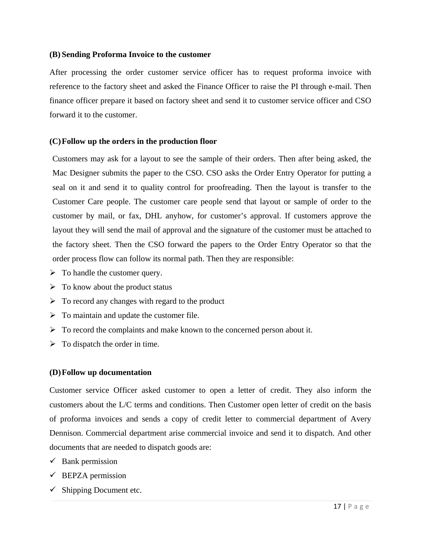#### **(B) Sending Proforma Invoice to the customer**

After processing the order customer service officer has to request proforma invoice with reference to the factory sheet and asked the Finance Officer to raise the PI through e-mail. Then finance officer prepare it based on factory sheet and send it to customer service officer and CSO forward it to the customer.

#### **(C)Follow up the orders in the production floor**

Customers may ask for a layout to see the sample of their orders. Then after being asked, the Mac Designer submits the paper to the CSO. CSO asks the Order Entry Operator for putting a seal on it and send it to quality control for proofreading. Then the layout is transfer to the Customer Care people. The customer care people send that layout or sample of order to the customer by mail, or fax, DHL anyhow, for customer's approval. If customers approve the layout they will send the mail of approval and the signature of the customer must be attached to the factory sheet. Then the CSO forward the papers to the Order Entry Operator so that the order process flow can follow its normal path. Then they are responsible:

- $\triangleright$  To handle the customer query.
- $\triangleright$  To know about the product status
- $\triangleright$  To record any changes with regard to the product
- $\triangleright$  To maintain and update the customer file.
- $\triangleright$  To record the complaints and make known to the concerned person about it.
- $\triangleright$  To dispatch the order in time.

## **(D)Follow up documentation**

Customer service Officer asked customer to open a letter of credit. They also inform the customers about the L/C terms and conditions. Then Customer open letter of credit on the basis of proforma invoices and sends a copy of credit letter to commercial department of Avery Dennison. Commercial department arise commercial invoice and send it to dispatch. And other documents that are needed to dispatch goods are:

- $\checkmark$  Bank permission
- $\checkmark$  BEPZA permission
- $\checkmark$  Shipping Document etc.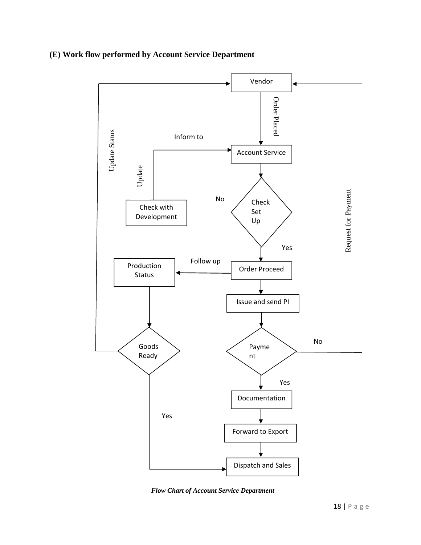## **(E) Work flow performed by Account Service Department**



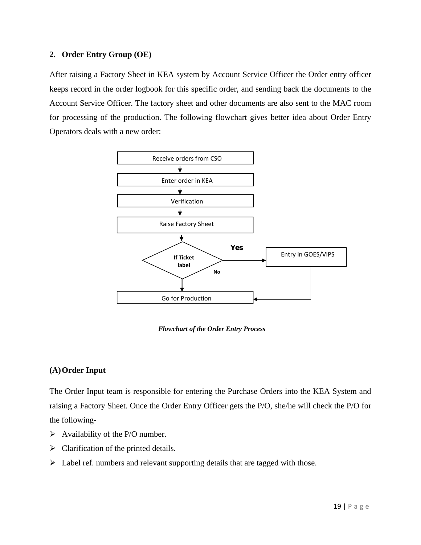## **2. Order Entry Group (OE)**

After raising a Factory Sheet in KEA system by Account Service Officer the Order entry officer keeps record in the order logbook for this specific order, and sending back the documents to the Account Service Officer. The factory sheet and other documents are also sent to the MAC room for processing of the production. The following flowchart gives better idea about Order Entry Operators deals with a new order:



*Flowchart of the Order Entry Process* 

## **(A)Order Input**

The Order Input team is responsible for entering the Purchase Orders into the KEA System and raising a Factory Sheet. Once the Order Entry Officer gets the P/O, she/he will check the P/O for the following-

- $\triangleright$  Availability of the P/O number.
- $\triangleright$  Clarification of the printed details.
- Label ref. numbers and relevant supporting details that are tagged with those.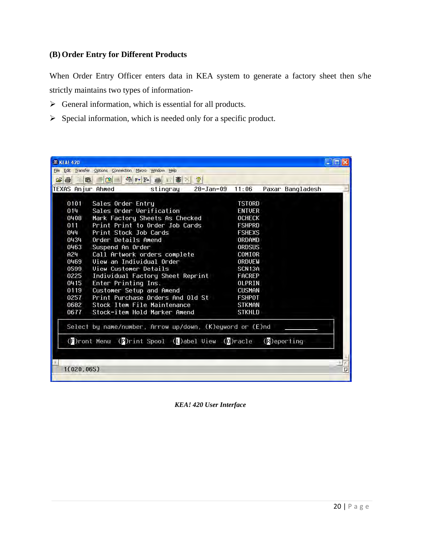## **(B) Order Entry for Different Products**

When Order Entry Officer enters data in KEA system to generate a factory sheet then s/he strictly maintains two types of information-

- $\triangleright$  General information, which is essential for all products.
- $\triangleright$  Special information, which is needed only for a specific product.

|                                                          | GB & CD SPFFF<br>TEXAS Anjur Ahmed | 图图<br>stingray                                   | 2 <br>$28 - Jan-09$ | 11:06                          |  |                  |  |  |
|----------------------------------------------------------|------------------------------------|--------------------------------------------------|---------------------|--------------------------------|--|------------------|--|--|
|                                                          |                                    |                                                  |                     |                                |  | Paxar Bangladesh |  |  |
| 0101                                                     | Sales Order Entru                  |                                                  |                     | <b>TSTORD</b>                  |  |                  |  |  |
| Sales Order Verification<br>014                          |                                    |                                                  |                     | <b>ENTUER</b>                  |  |                  |  |  |
| 0408<br>Mark Factory Sheets As Checked                   |                                    |                                                  |                     | <b>OCHECK</b>                  |  |                  |  |  |
| 011<br>Print Print to Order Job Cards                    |                                    |                                                  |                     | <b>FSHPRD</b>                  |  |                  |  |  |
| 044<br>Print Stock Job Cards                             |                                    |                                                  |                     | <b>FSHEXS</b>                  |  |                  |  |  |
| 0434                                                     | Order Details Amend                |                                                  |                     | ORDAMD                         |  |                  |  |  |
| 0463                                                     | Suspend An Order                   |                                                  |                     | ORDSUS                         |  |                  |  |  |
| A24<br>Call Artwork orders complete                      |                                    |                                                  |                     | COMIOR                         |  |                  |  |  |
| Uiew an Individual Order<br>0469                         |                                    |                                                  |                     | ORDUEW                         |  |                  |  |  |
| <b>Uiew Customer Details</b><br>0599                     |                                    |                                                  |                     | SCN13A                         |  |                  |  |  |
| Individual Factory Sheet Reprint<br>0225                 |                                    |                                                  |                     | FACREP                         |  |                  |  |  |
| 0415<br>Enter Printing Ins.                              |                                    |                                                  |                     | OLPRIN                         |  |                  |  |  |
| 0119<br>Customer Setup and Amend                         |                                    |                                                  |                     | <b>CUSMAN</b>                  |  |                  |  |  |
| 0257                                                     |                                    | Print Purchase Orders And Old St                 |                     | <b>FSHPOT</b><br><b>STKMAN</b> |  |                  |  |  |
| 0682                                                     |                                    | Stock Item File Maintenance                      |                     |                                |  |                  |  |  |
| 0677<br>Stock-item Hold Marker Amend                     |                                    |                                                  |                     | <b>STKHLD</b>                  |  |                  |  |  |
| Select by name/number, Arrow up/down, (K)eyword or (E)nd |                                    |                                                  |                     |                                |  |                  |  |  |
|                                                          |                                    | (F)ront Menu (P)rint Spool (L)abel View (O)racle |                     |                                |  | (R)eporting      |  |  |
|                                                          |                                    |                                                  |                     |                                |  |                  |  |  |

*KEA! 420 User Interface*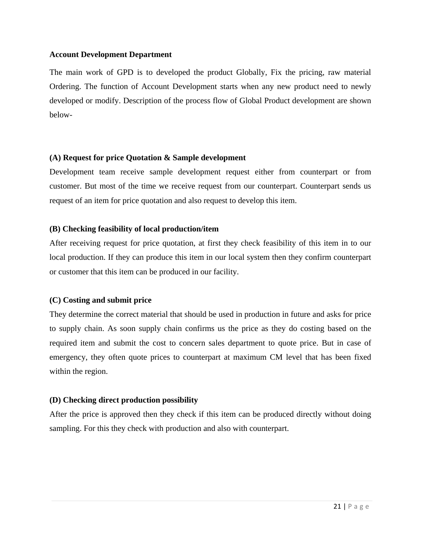#### **Account Development Department**

The main work of GPD is to developed the product Globally, Fix the pricing, raw material Ordering. The function of Account Development starts when any new product need to newly developed or modify. Description of the process flow of Global Product development are shown below-

#### **(A) Request for price Quotation & Sample development**

Development team receive sample development request either from counterpart or from customer. But most of the time we receive request from our counterpart. Counterpart sends us request of an item for price quotation and also request to develop this item.

#### **(B) Checking feasibility of local production/item**

After receiving request for price quotation, at first they check feasibility of this item in to our local production. If they can produce this item in our local system then they confirm counterpart or customer that this item can be produced in our facility.

## **(C) Costing and submit price**

They determine the correct material that should be used in production in future and asks for price to supply chain. As soon supply chain confirms us the price as they do costing based on the required item and submit the cost to concern sales department to quote price. But in case of emergency, they often quote prices to counterpart at maximum CM level that has been fixed within the region.

## **(D) Checking direct production possibility**

After the price is approved then they check if this item can be produced directly without doing sampling. For this they check with production and also with counterpart.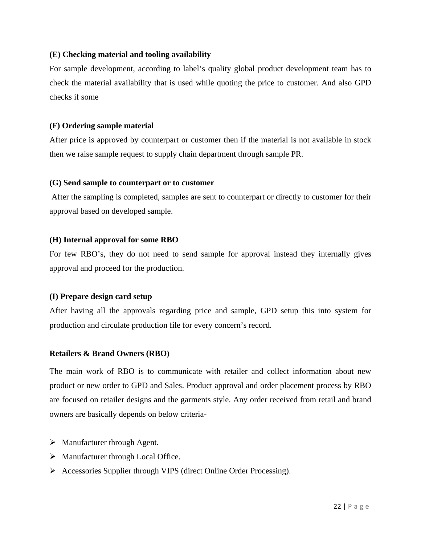## **(E) Checking material and tooling availability**

For sample development, according to label's quality global product development team has to check the material availability that is used while quoting the price to customer. And also GPD checks if some

#### **(F) Ordering sample material**

After price is approved by counterpart or customer then if the material is not available in stock then we raise sample request to supply chain department through sample PR.

#### **(G) Send sample to counterpart or to customer**

After the sampling is completed, samples are sent to counterpart or directly to customer for their approval based on developed sample.

## **(H) Internal approval for some RBO**

For few RBO's, they do not need to send sample for approval instead they internally gives approval and proceed for the production.

#### **(I) Prepare design card setup**

After having all the approvals regarding price and sample, GPD setup this into system for production and circulate production file for every concern's record.

## **Retailers & Brand Owners (RBO)**

The main work of RBO is to communicate with retailer and collect information about new product or new order to GPD and Sales. Product approval and order placement process by RBO are focused on retailer designs and the garments style. Any order received from retail and brand owners are basically depends on below criteria-

- > Manufacturer through Agent.
- $\triangleright$  Manufacturer through Local Office.
- Accessories Supplier through VIPS (direct Online Order Processing).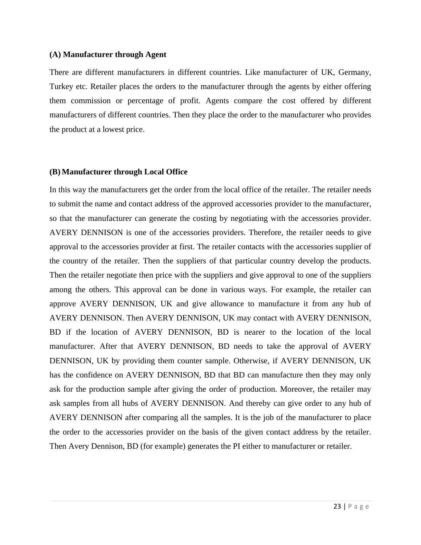#### **(A) Manufacturer through Agent**

There are different manufacturers in different countries. Like manufacturer of UK, Germany, Turkey etc. Retailer places the orders to the manufacturer through the agents by either offering them commission or percentage of profit. Agents compare the cost offered by different manufacturers of different countries. Then they place the order to the manufacturer who provides the product at a lowest price.

#### **(B) Manufacturer through Local Office**

In this way the manufacturers get the order from the local office of the retailer. The retailer needs to submit the name and contact address of the approved accessories provider to the manufacturer, so that the manufacturer can generate the costing by negotiating with the accessories provider. AVERY DENNISON is one of the accessories providers. Therefore, the retailer needs to give approval to the accessories provider at first. The retailer contacts with the accessories supplier of the country of the retailer. Then the suppliers of that particular country develop the products. Then the retailer negotiate then price with the suppliers and give approval to one of the suppliers among the others. This approval can be done in various ways. For example, the retailer can approve AVERY DENNISON, UK and give allowance to manufacture it from any hub of AVERY DENNISON. Then AVERY DENNISON, UK may contact with AVERY DENNISON, BD if the location of AVERY DENNISON, BD is nearer to the location of the local manufacturer. After that AVERY DENNISON, BD needs to take the approval of AVERY DENNISON, UK by providing them counter sample. Otherwise, if AVERY DENNISON, UK has the confidence on AVERY DENNISON, BD that BD can manufacture then they may only ask for the production sample after giving the order of production. Moreover, the retailer may ask samples from all hubs of AVERY DENNISON. And thereby can give order to any hub of AVERY DENNISON after comparing all the samples. It is the job of the manufacturer to place the order to the accessories provider on the basis of the given contact address by the retailer. Then Avery Dennison, BD (for example) generates the PI either to manufacturer or retailer.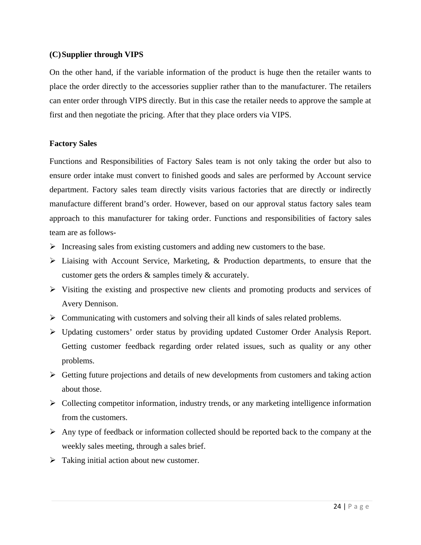#### **(C)Supplier through VIPS**

On the other hand, if the variable information of the product is huge then the retailer wants to place the order directly to the accessories supplier rather than to the manufacturer. The retailers can enter order through VIPS directly. But in this case the retailer needs to approve the sample at first and then negotiate the pricing. After that they place orders via VIPS.

#### **Factory Sales**

Functions and Responsibilities of Factory Sales team is not only taking the order but also to ensure order intake must convert to finished goods and sales are performed by Account service department. Factory sales team directly visits various factories that are directly or indirectly manufacture different brand's order. However, based on our approval status factory sales team approach to this manufacturer for taking order. Functions and responsibilities of factory sales team are as follows-

- $\triangleright$  Increasing sales from existing customers and adding new customers to the base.
- Liaising with Account Service, Marketing, & Production departments, to ensure that the customer gets the orders & samples timely & accurately.
- $\triangleright$  Visiting the existing and prospective new clients and promoting products and services of Avery Dennison.
- $\triangleright$  Communicating with customers and solving their all kinds of sales related problems.
- Updating customers' order status by providing updated Customer Order Analysis Report. Getting customer feedback regarding order related issues, such as quality or any other problems.
- $\triangleright$  Getting future projections and details of new developments from customers and taking action about those.
- $\triangleright$  Collecting competitor information, industry trends, or any marketing intelligence information from the customers.
- $\triangleright$  Any type of feedback or information collected should be reported back to the company at the weekly sales meeting, through a sales brief.
- $\triangleright$  Taking initial action about new customer.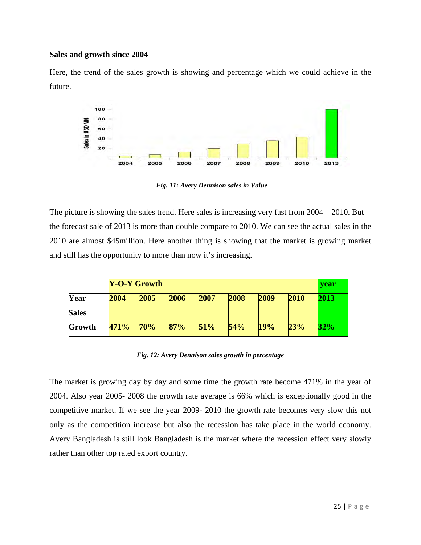#### **Sales and growth since 2004**

Here, the trend of the sales growth is showing and percentage which we could achieve in the future.



*Fig. 11: Avery Dennison sales in Value* 

The picture is showing the sales trend. Here sales is increasing very fast from 2004 – 2010. But the forecast sale of 2013 is more than double compare to 2010. We can see the actual sales in the 2010 are almost \$45million. Here another thing is showing that the market is growing market and still has the opportunity to more than now it's increasing.

|              | <b>Y-O-Y Growth</b> |      |      |      |      |      |      | year |
|--------------|---------------------|------|------|------|------|------|------|------|
| Year         | 2004                | 2005 | 2006 | 2007 | 2008 | 2009 | 2010 | 2013 |
| <b>Sales</b> |                     |      |      |      |      |      |      |      |
| Growth       | 471%                | 70%  | 87%  | 51%  | 54%  | 19%  | 23%  | 32%  |

*Fig. 12: Avery Dennison sales growth in percentage* 

The market is growing day by day and some time the growth rate become 471% in the year of 2004. Also year 2005- 2008 the growth rate average is 66% which is exceptionally good in the competitive market. If we see the year 2009- 2010 the growth rate becomes very slow this not only as the competition increase but also the recession has take place in the world economy. Avery Bangladesh is still look Bangladesh is the market where the recession effect very slowly rather than other top rated export country.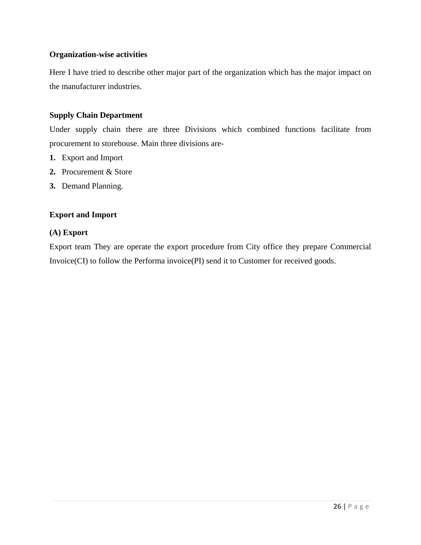#### **Organization-wise activities**

Here I have tried to describe other major part of the organization which has the major impact on the manufacturer industries.

#### **Supply Chain Department**

Under supply chain there are three Divisions which combined functions facilitate from procurement to storehouse. Main three divisions are-

- **1.** Export and Import
- **2.** Procurement & Store
- **3.** Demand Planning.

#### **Export and Import**

#### **(A) Export**

Export team They are operate the export procedure from City office they prepare Commercial Invoice(CI) to follow the Performa invoice(PI) send it to Customer for received goods.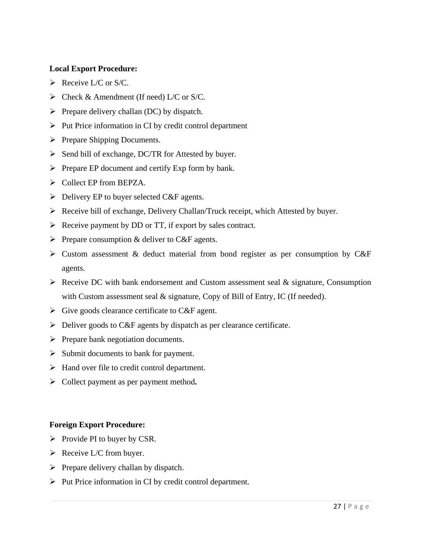#### **Local Export Procedure:**

- $\triangleright$  Receive L/C or S/C.
- $\triangleright$  Check & Amendment (If need) L/C or S/C.
- $\triangleright$  Prepare delivery challan (DC) by dispatch.
- $\triangleright$  Put Price information in CI by credit control department
- $\triangleright$  Prepare Shipping Documents.
- $\triangleright$  Send bill of exchange, DC/TR for Attested by buyer.
- $\triangleright$  Prepare EP document and certify Exp form by bank.
- $\triangleright$  Collect EP from BEPZA.
- $\triangleright$  Delivery EP to buyer selected C&F agents.
- Receive bill of exchange, Delivery Challan/Truck receipt, which Attested by buyer.
- $\triangleright$  Receive payment by DD or TT, if export by sales contract.
- $\triangleright$  Prepare consumption & deliver to C&F agents.
- $\triangleright$  Custom assessment & deduct material from bond register as per consumption by C&F agents.
- $\triangleright$  Receive DC with bank endorsement and Custom assessment seal & signature, Consumption with Custom assessment seal & signature, Copy of Bill of Entry, IC (If needed).
- $\triangleright$  Give goods clearance certificate to C&F agent.
- $\triangleright$  Deliver goods to C&F agents by dispatch as per clearance certificate.
- $\triangleright$  Prepare bank negotiation documents.
- $\triangleright$  Submit documents to bank for payment.
- $\triangleright$  Hand over file to credit control department.
- Collect payment as per payment method**.**

#### **Foreign Export Procedure:**

- $\triangleright$  Provide PI to buyer by CSR.
- $\triangleright$  Receive L/C from buyer.
- $\triangleright$  Prepare delivery challan by dispatch.
- $\triangleright$  Put Price information in CI by credit control department.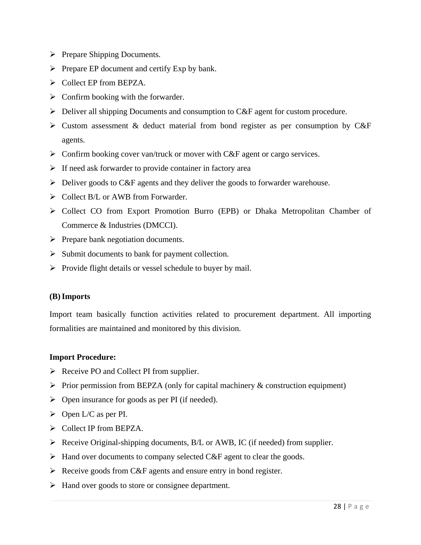- $\triangleright$  Prepare Shipping Documents.
- $\triangleright$  Prepare EP document and certify Exp by bank.
- $\triangleright$  Collect EP from BEPZA.
- $\triangleright$  Confirm booking with the forwarder.
- $\triangleright$  Deliver all shipping Documents and consumption to C&F agent for custom procedure.
- $\triangleright$  Custom assessment & deduct material from bond register as per consumption by C&F agents.
- $\triangleright$  Confirm booking cover van/truck or mover with C&F agent or cargo services.
- $\triangleright$  If need ask forwarder to provide container in factory area
- Deliver goods to C&F agents and they deliver the goods to forwarder warehouse.
- $\triangleright$  Collect B/L or AWB from Forwarder.
- Collect CO from Export Promotion Burro (EPB) or Dhaka Metropolitan Chamber of Commerce & Industries (DMCCI).
- $\triangleright$  Prepare bank negotiation documents.
- $\triangleright$  Submit documents to bank for payment collection.
- $\triangleright$  Provide flight details or vessel schedule to buyer by mail.

#### **(B)Imports**

Import team basically function activities related to procurement department. All importing formalities are maintained and monitored by this division.

#### **Import Procedure:**

- $\triangleright$  Receive PO and Collect PI from supplier.
- $\triangleright$  Prior permission from BEPZA (only for capital machinery & construction equipment)
- $\triangleright$  Open insurance for goods as per PI (if needed).
- $\triangleright$  Open L/C as per PI.
- ▶ Collect IP from BEPZA.
- Receive Original-shipping documents, B/L or AWB, IC (if needed) from supplier.
- $\triangleright$  Hand over documents to company selected C&F agent to clear the goods.
- $\triangleright$  Receive goods from C&F agents and ensure entry in bond register.
- $\triangleright$  Hand over goods to store or consignee department.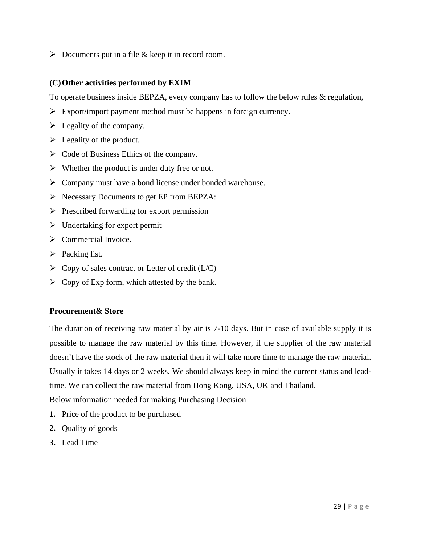$\triangleright$  Documents put in a file & keep it in record room.

#### **(C)Other activities performed by EXIM**

To operate business inside BEPZA, every company has to follow the below rules & regulation,

- $\triangleright$  Export/import payment method must be happens in foreign currency.
- $\blacktriangleright$  Legality of the company.
- $\blacktriangleright$  Legality of the product.
- $\triangleright$  Code of Business Ethics of the company.
- $\triangleright$  Whether the product is under duty free or not.
- Company must have a bond license under bonded warehouse.
- $\triangleright$  Necessary Documents to get EP from BEPZA:
- $\triangleright$  Prescribed forwarding for export permission
- $\triangleright$  Undertaking for export permit
- $\triangleright$  Commercial Invoice.
- $\triangleright$  Packing list.
- $\triangleright$  Copy of sales contract or Letter of credit (L/C)
- $\triangleright$  Copy of Exp form, which attested by the bank.

#### **Procurement& Store**

The duration of receiving raw material by air is 7-10 days. But in case of available supply it is possible to manage the raw material by this time. However, if the supplier of the raw material doesn't have the stock of the raw material then it will take more time to manage the raw material. Usually it takes 14 days or 2 weeks. We should always keep in mind the current status and leadtime. We can collect the raw material from Hong Kong, USA, UK and Thailand.

Below information needed for making Purchasing Decision

- **1.** Price of the product to be purchased
- **2.** Quality of goods
- **3.** Lead Time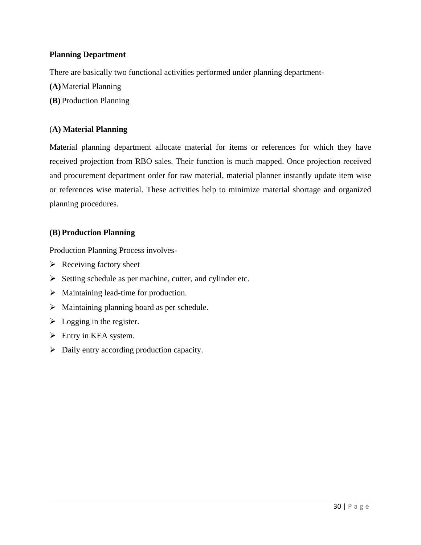## **Planning Department**

There are basically two functional activities performed under planning department-

- **(A)**Material Planning
- **(B)** Production Planning

#### (**A) Material Planning**

Material planning department allocate material for items or references for which they have received projection from RBO sales. Their function is much mapped. Once projection received and procurement department order for raw material, material planner instantly update item wise or references wise material. These activities help to minimize material shortage and organized planning procedures.

#### **(B) Production Planning**

Production Planning Process involves-

- $\triangleright$  Receiving factory sheet
- $\triangleright$  Setting schedule as per machine, cutter, and cylinder etc.
- $\triangleright$  Maintaining lead-time for production.
- $\triangleright$  Maintaining planning board as per schedule.
- $\triangleright$  Logging in the register.
- $\triangleright$  Entry in KEA system.
- $\triangleright$  Daily entry according production capacity.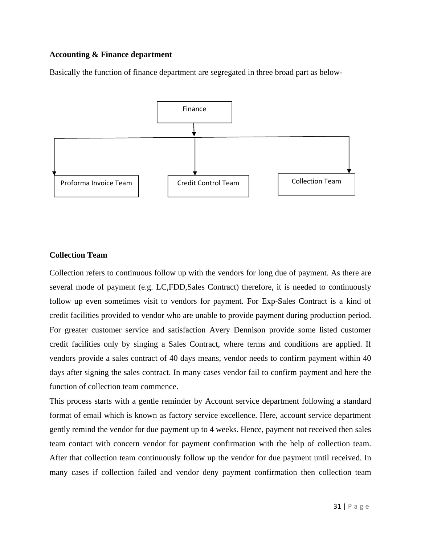## **Accounting & Finance department**

Basically the function of finance department are segregated in three broad part as below-



#### **Collection Team**

Collection refers to continuous follow up with the vendors for long due of payment. As there are several mode of payment (e.g. LC,FDD,Sales Contract) therefore, it is needed to continuously follow up even sometimes visit to vendors for payment. For Exp-Sales Contract is a kind of credit facilities provided to vendor who are unable to provide payment during production period. For greater customer service and satisfaction Avery Dennison provide some listed customer credit facilities only by singing a Sales Contract, where terms and conditions are applied. If vendors provide a sales contract of 40 days means, vendor needs to confirm payment within 40 days after signing the sales contract. In many cases vendor fail to confirm payment and here the function of collection team commence.

This process starts with a gentle reminder by Account service department following a standard format of email which is known as factory service excellence. Here, account service department gently remind the vendor for due payment up to 4 weeks. Hence, payment not received then sales team contact with concern vendor for payment confirmation with the help of collection team. After that collection team continuously follow up the vendor for due payment until received. In many cases if collection failed and vendor deny payment confirmation then collection team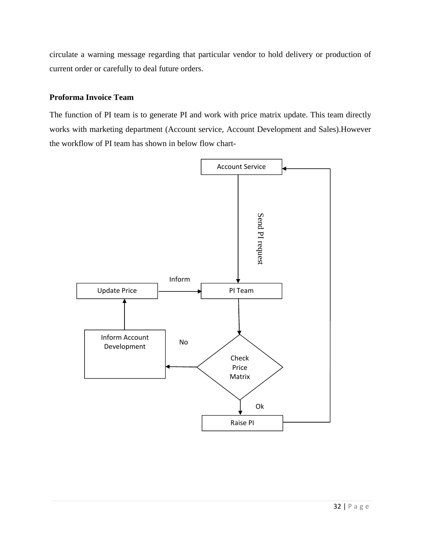circulate a warning message regarding that particular vendor to hold delivery or production of current order or carefully to deal future orders.

#### **Proforma Invoice Team**

The function of PI team is to generate PI and work with price matrix update. This team directly works with marketing department (Account service, Account Development and Sales).However the workflow of PI team has shown in below flow chart-

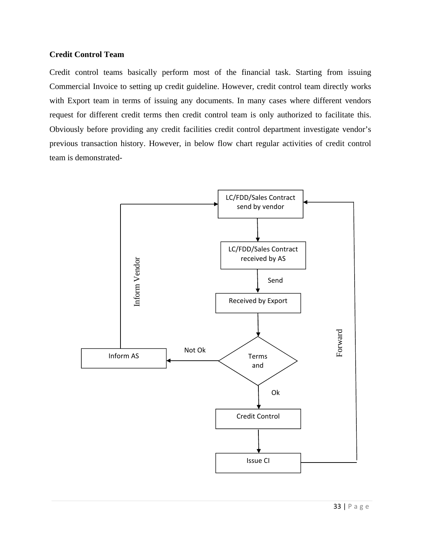#### **Credit Control Team**

Credit control teams basically perform most of the financial task. Starting from issuing Commercial Invoice to setting up credit guideline. However, credit control team directly works with Export team in terms of issuing any documents. In many cases where different vendors request for different credit terms then credit control team is only authorized to facilitate this. Obviously before providing any credit facilities credit control department investigate vendor's previous transaction history. However, in below flow chart regular activities of credit control team is demonstrated-

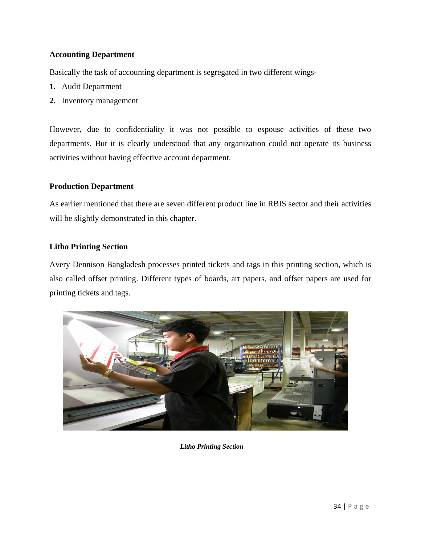## **Accounting Department**

Basically the task of accounting department is segregated in two different wings-

- **1.** Audit Department
- **2.** Inventory management

However, due to confidentiality it was not possible to espouse activities of these two departments. But it is clearly understood that any organization could not operate its business activities without having effective account department.

#### **Production Department**

As earlier mentioned that there are seven different product line in RBIS sector and their activities will be slightly demonstrated in this chapter.

#### **Litho Printing Section**

Avery Dennison Bangladesh processes printed tickets and tags in this printing section, which is also called offset printing. Different types of boards, art papers, and offset papers are used for printing tickets and tags.



*Litho Printing Section*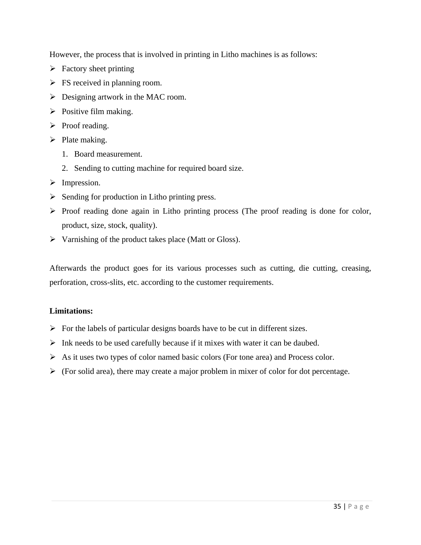However, the process that is involved in printing in Litho machines is as follows:

- $\triangleright$  Factory sheet printing
- $\triangleright$  FS received in planning room.
- $\triangleright$  Designing artwork in the MAC room.
- $\triangleright$  Positive film making.
- $\triangleright$  Proof reading.
- $\triangleright$  Plate making.
	- 1. Board measurement.
	- 2. Sending to cutting machine for required board size.
- > Impression.
- $\triangleright$  Sending for production in Litho printing press.
- $\triangleright$  Proof reading done again in Litho printing process (The proof reading is done for color, product, size, stock, quality).
- $\triangleright$  Varnishing of the product takes place (Matt or Gloss).

Afterwards the product goes for its various processes such as cutting, die cutting, creasing, perforation, cross-slits, etc. according to the customer requirements.

## **Limitations:**

- $\triangleright$  For the labels of particular designs boards have to be cut in different sizes.
- $\triangleright$  Ink needs to be used carefully because if it mixes with water it can be daubed.
- $\triangleright$  As it uses two types of color named basic colors (For tone area) and Process color.
- $\triangleright$  (For solid area), there may create a major problem in mixer of color for dot percentage.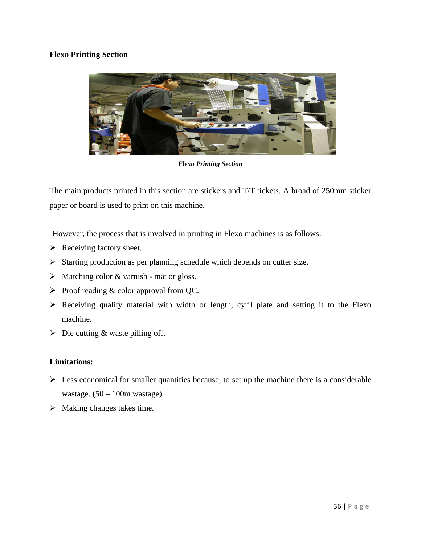## **Flexo Printing Section**



*Flexo Printing Section* 

The main products printed in this section are stickers and T/T tickets. A broad of 250mm sticker paper or board is used to print on this machine.

However, the process that is involved in printing in Flexo machines is as follows:

- $\triangleright$  Receiving factory sheet.
- $\triangleright$  Starting production as per planning schedule which depends on cutter size.
- $\triangleright$  Matching color & varnish mat or gloss.
- $\triangleright$  Proof reading & color approval from QC.
- $\triangleright$  Receiving quality material with width or length, cyril plate and setting it to the Flexo machine.
- $\triangleright$  Die cutting & waste pilling off.

#### **Limitations:**

- $\triangleright$  Less economical for smaller quantities because, to set up the machine there is a considerable wastage.  $(50 - 100m$  wastage)
- $\triangleright$  Making changes takes time.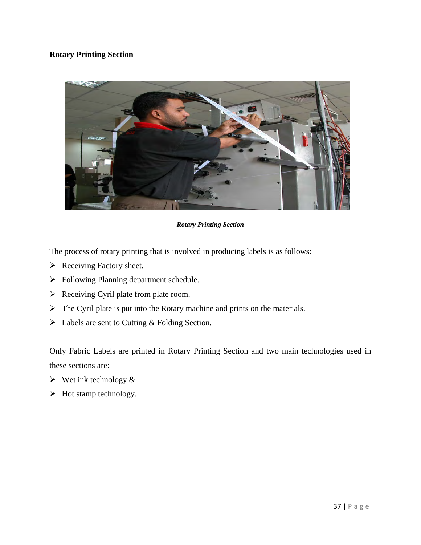## **Rotary Printing Section**



*Rotary Printing Section* 

The process of rotary printing that is involved in producing labels is as follows:

- $\triangleright$  Receiving Factory sheet.
- Following Planning department schedule.
- $\triangleright$  Receiving Cyril plate from plate room.
- $\triangleright$  The Cyril plate is put into the Rotary machine and prints on the materials.
- $\triangleright$  Labels are sent to Cutting & Folding Section.

Only Fabric Labels are printed in Rotary Printing Section and two main technologies used in these sections are:

- $\triangleright$  Wet ink technology &
- $\triangleright$  Hot stamp technology.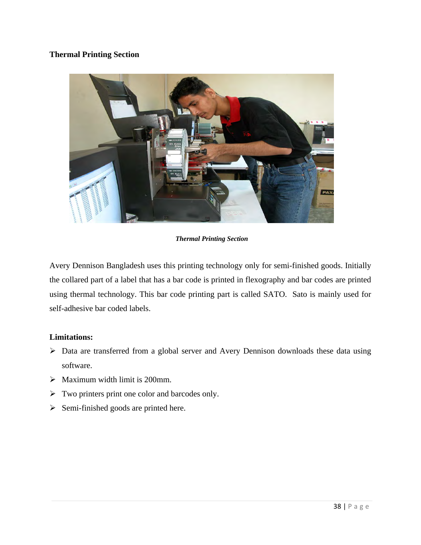## **Thermal Printing Section**



*Thermal Printing Section* 

Avery Dennison Bangladesh uses this printing technology only for semi-finished goods. Initially the collared part of a label that has a bar code is printed in flexography and bar codes are printed using thermal technology. This bar code printing part is called SATO. Sato is mainly used for self-adhesive bar coded labels.

## **Limitations:**

- > Data are transferred from a global server and Avery Dennison downloads these data using software.
- $\triangleright$  Maximum width limit is 200mm.
- $\triangleright$  Two printers print one color and barcodes only.
- $\triangleright$  Semi-finished goods are printed here.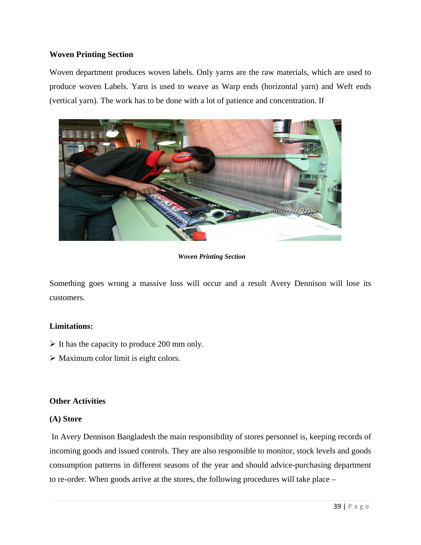#### **Woven Printing Section**

Woven department produces woven labels. Only yarns are the raw materials, which are used to produce woven Labels. Yarn is used to weave as Warp ends (horizontal yarn) and Weft ends (vertical yarn). The work has to be done with a lot of patience and concentration. If



*Woven Printing Section* 

Something goes wrong a massive loss will occur and a result Avery Dennison will lose its customers.

#### **Limitations:**

- $\triangleright$  It has the capacity to produce 200 mm only.
- $\triangleright$  Maximum color limit is eight colors.

#### **Other Activities**

#### **(A) Store**

In Avery Dennison Bangladesh the main responsibility of stores personnel is, keeping records of incoming goods and issued controls. They are also responsible to monitor, stock levels and goods consumption patterns in different seasons of the year and should advice-purchasing department to re-order. When goods arrive at the stores, the following procedures will take place –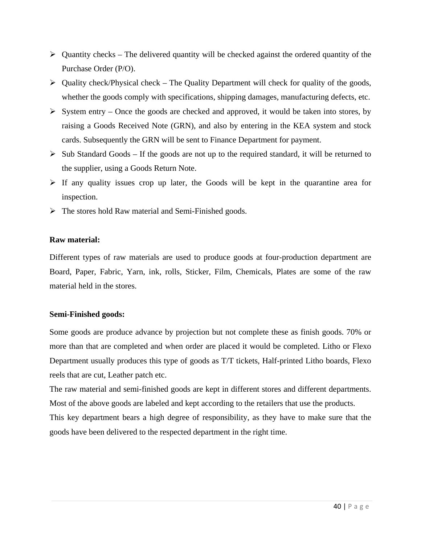- $\triangleright$  Quantity checks The delivered quantity will be checked against the ordered quantity of the Purchase Order (P/O).
- $\triangleright$  Quality check/Physical check The Quality Department will check for quality of the goods, whether the goods comply with specifications, shipping damages, manufacturing defects, etc.
- $\triangleright$  System entry Once the goods are checked and approved, it would be taken into stores, by raising a Goods Received Note (GRN), and also by entering in the KEA system and stock cards. Subsequently the GRN will be sent to Finance Department for payment.
- $\triangleright$  Sub Standard Goods If the goods are not up to the required standard, it will be returned to the supplier, using a Goods Return Note.
- $\triangleright$  If any quality issues crop up later, the Goods will be kept in the quarantine area for inspection.
- $\triangleright$  The stores hold Raw material and Semi-Finished goods.

#### **Raw material:**

Different types of raw materials are used to produce goods at four-production department are Board, Paper, Fabric, Yarn, ink, rolls, Sticker, Film, Chemicals, Plates are some of the raw material held in the stores.

#### **Semi-Finished goods:**

Some goods are produce advance by projection but not complete these as finish goods. 70% or more than that are completed and when order are placed it would be completed. Litho or Flexo Department usually produces this type of goods as T/T tickets, Half-printed Litho boards, Flexo reels that are cut, Leather patch etc.

The raw material and semi-finished goods are kept in different stores and different departments. Most of the above goods are labeled and kept according to the retailers that use the products. This key department bears a high degree of responsibility, as they have to make sure that the goods have been delivered to the respected department in the right time.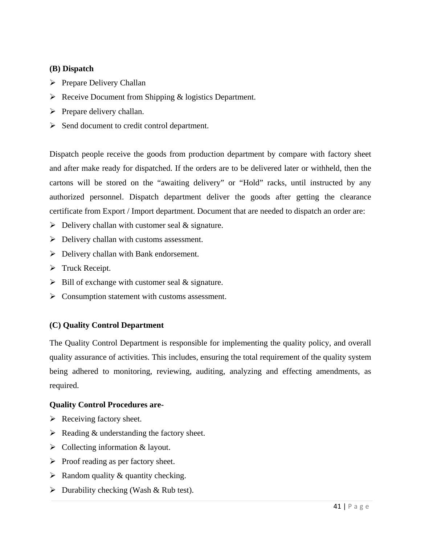#### **(B) Dispatch**

- $\triangleright$  Prepare Delivery Challan
- $\triangleright$  Receive Document from Shipping & logistics Department.
- $\triangleright$  Prepare delivery challan.
- $\triangleright$  Send document to credit control department.

Dispatch people receive the goods from production department by compare with factory sheet and after make ready for dispatched. If the orders are to be delivered later or withheld, then the cartons will be stored on the "awaiting delivery" or "Hold" racks, until instructed by any authorized personnel. Dispatch department deliver the goods after getting the clearance certificate from Export / Import department. Document that are needed to dispatch an order are:

- $\triangleright$  Delivery challan with customer seal & signature.
- $\triangleright$  Delivery challan with customs assessment.
- Delivery challan with Bank endorsement.
- $\triangleright$  Truck Receipt.
- $\triangleright$  Bill of exchange with customer seal & signature.
- $\triangleright$  Consumption statement with customs assessment.

## **(C) Quality Control Department**

The Quality Control Department is responsible for implementing the quality policy, and overall quality assurance of activities. This includes, ensuring the total requirement of the quality system being adhered to monitoring, reviewing, auditing, analyzing and effecting amendments, as required.

## **Quality Control Procedures are-**

- $\triangleright$  Receiving factory sheet.
- $\triangleright$  Reading & understanding the factory sheet.
- $\triangleright$  Collecting information & layout.
- $\triangleright$  Proof reading as per factory sheet.
- $\triangleright$  Random quality & quantity checking.
- $\triangleright$  Durability checking (Wash & Rub test).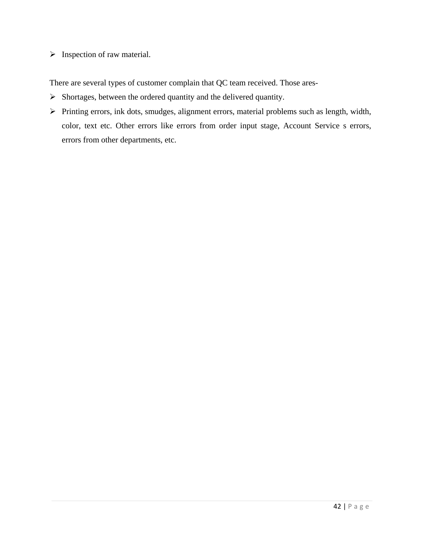$\triangleright$  Inspection of raw material.

There are several types of customer complain that QC team received. Those ares-

- $\triangleright$  Shortages, between the ordered quantity and the delivered quantity.
- Printing errors, ink dots, smudges, alignment errors, material problems such as length, width, color, text etc. Other errors like errors from order input stage, Account Service s errors, errors from other departments, etc.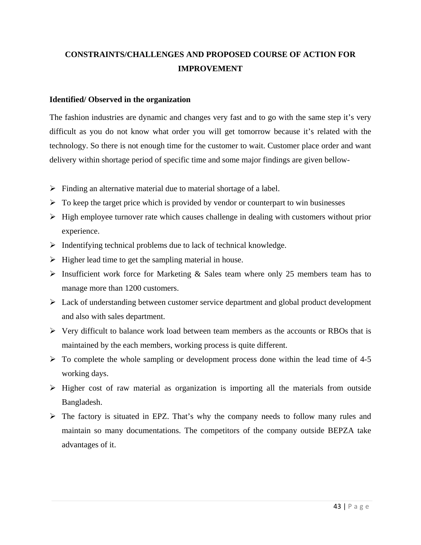# **CONSTRAINTS/CHALLENGES AND PROPOSED COURSE OF ACTION FOR IMPROVEMENT**

#### **Identified/ Observed in the organization**

The fashion industries are dynamic and changes very fast and to go with the same step it's very difficult as you do not know what order you will get tomorrow because it's related with the technology. So there is not enough time for the customer to wait. Customer place order and want delivery within shortage period of specific time and some major findings are given bellow-

- $\triangleright$  Finding an alternative material due to material shortage of a label.
- $\triangleright$  To keep the target price which is provided by vendor or counterpart to win businesses
- $\triangleright$  High employee turnover rate which causes challenge in dealing with customers without prior experience.
- $\triangleright$  Indentifying technical problems due to lack of technical knowledge.
- $\triangleright$  Higher lead time to get the sampling material in house.
- $\triangleright$  Insufficient work force for Marketing & Sales team where only 25 members team has to manage more than 1200 customers.
- Lack of understanding between customer service department and global product development and also with sales department.
- $\triangleright$  Very difficult to balance work load between team members as the accounts or RBOs that is maintained by the each members, working process is quite different.
- $\triangleright$  To complete the whole sampling or development process done within the lead time of 4-5 working days.
- $\triangleright$  Higher cost of raw material as organization is importing all the materials from outside Bangladesh.
- $\triangleright$  The factory is situated in EPZ. That's why the company needs to follow many rules and maintain so many documentations. The competitors of the company outside BEPZA take advantages of it.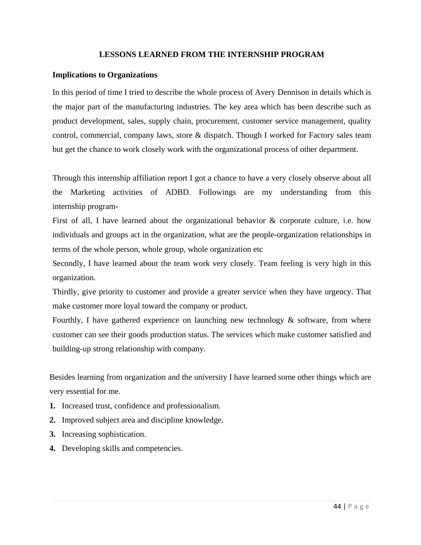#### **LESSONS LEARNED FROM THE INTERNSHIP PROGRAM**

#### **Implications to Organizations**

In this period of time I tried to describe the whole process of Avery Dennison in details which is the major part of the manufacturing industries. The key area which has been describe such as product development, sales, supply chain, procurement, customer service management, quality control, commercial, company laws, store & dispatch. Though I worked for Factory sales team but get the chance to work closely work with the organizational process of other department.

Through this internship affiliation report I got a chance to have a very closely observe about all the Marketing activities of ADBD. Followings are my understanding from this internship program-

First of all, I have learned about the organizational behavior & corporate culture, i.e. how individuals and groups act in the organization, what are the people-organization relationships in terms of the whole person, whole group, whole organization etc

Secondly, I have learned about the team work very closely. Team feeling is very high in this organization.

Thirdly, give priority to customer and provide a greater service when they have urgency. That make customer more loyal toward the company or product.

Fourthly, I have gathered experience on launching new technology  $\&$  software, from where customer can see their goods production status. The services which make customer satisfied and building-up strong relationship with company.

Besides learning from organization and the university I have learned some other things which are very essential for me.

- **1.** Increased trust, confidence and professionalism.
- **2.** Improved subject area and discipline knowledge.
- **3.** Increasing sophistication.
- **4.** Developing skills and competencies.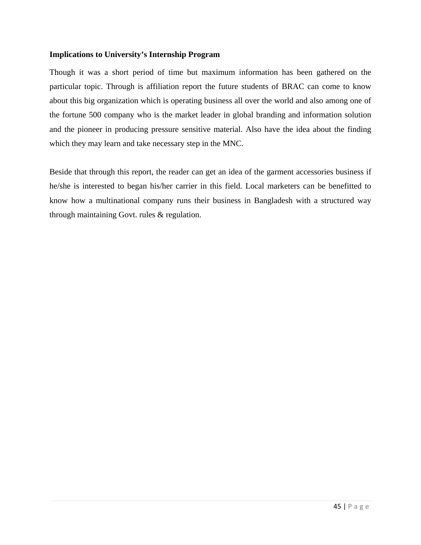#### **Implications to University's Internship Program**

Though it was a short period of time but maximum information has been gathered on the particular topic. Through is affiliation report the future students of BRAC can come to know about this big organization which is operating business all over the world and also among one of the fortune 500 company who is the market leader in global branding and information solution and the pioneer in producing pressure sensitive material. Also have the idea about the finding which they may learn and take necessary step in the MNC.

Beside that through this report, the reader can get an idea of the garment accessories business if he/she is interested to began his/her carrier in this field. Local marketers can be benefitted to know how a multinational company runs their business in Bangladesh with a structured way through maintaining Govt. rules & regulation.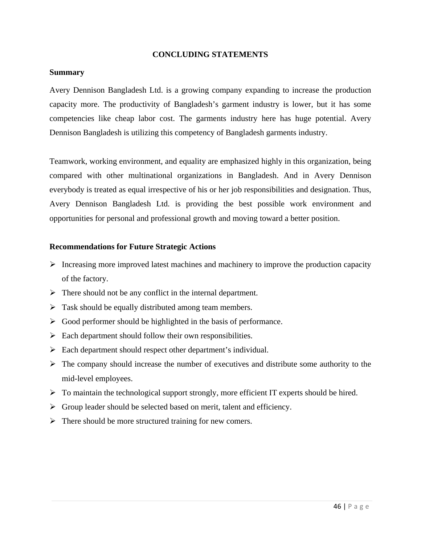#### **CONCLUDING STATEMENTS**

#### **Summary**

Avery Dennison Bangladesh Ltd. is a growing company expanding to increase the production capacity more. The productivity of Bangladesh's garment industry is lower, but it has some competencies like cheap labor cost. The garments industry here has huge potential. Avery Dennison Bangladesh is utilizing this competency of Bangladesh garments industry.

Teamwork, working environment, and equality are emphasized highly in this organization, being compared with other multinational organizations in Bangladesh. And in Avery Dennison everybody is treated as equal irrespective of his or her job responsibilities and designation. Thus, Avery Dennison Bangladesh Ltd. is providing the best possible work environment and opportunities for personal and professional growth and moving toward a better position.

#### **Recommendations for Future Strategic Actions**

- $\triangleright$  Increasing more improved latest machines and machinery to improve the production capacity of the factory.
- $\triangleright$  There should not be any conflict in the internal department.
- $\triangleright$  Task should be equally distributed among team members.
- $\triangleright$  Good performer should be highlighted in the basis of performance.
- $\triangleright$  Each department should follow their own responsibilities.
- $\triangleright$  Each department should respect other department's individual.
- $\triangleright$  The company should increase the number of executives and distribute some authority to the mid-level employees.
- $\triangleright$  To maintain the technological support strongly, more efficient IT experts should be hired.
- $\triangleright$  Group leader should be selected based on merit, talent and efficiency.
- $\triangleright$  There should be more structured training for new comers.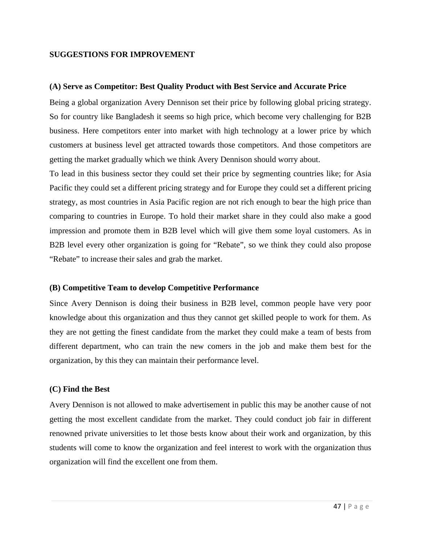#### **SUGGESTIONS FOR IMPROVEMENT**

#### **(A) Serve as Competitor: Best Quality Product with Best Service and Accurate Price**

Being a global organization Avery Dennison set their price by following global pricing strategy. So for country like Bangladesh it seems so high price, which become very challenging for B2B business. Here competitors enter into market with high technology at a lower price by which customers at business level get attracted towards those competitors. And those competitors are getting the market gradually which we think Avery Dennison should worry about.

To lead in this business sector they could set their price by segmenting countries like; for Asia Pacific they could set a different pricing strategy and for Europe they could set a different pricing strategy, as most countries in Asia Pacific region are not rich enough to bear the high price than comparing to countries in Europe. To hold their market share in they could also make a good impression and promote them in B2B level which will give them some loyal customers. As in B2B level every other organization is going for "Rebate", so we think they could also propose "Rebate" to increase their sales and grab the market.

#### **(B) Competitive Team to develop Competitive Performance**

Since Avery Dennison is doing their business in B2B level, common people have very poor knowledge about this organization and thus they cannot get skilled people to work for them. As they are not getting the finest candidate from the market they could make a team of bests from different department, who can train the new comers in the job and make them best for the organization, by this they can maintain their performance level.

#### **(C) Find the Best**

Avery Dennison is not allowed to make advertisement in public this may be another cause of not getting the most excellent candidate from the market. They could conduct job fair in different renowned private universities to let those bests know about their work and organization, by this students will come to know the organization and feel interest to work with the organization thus organization will find the excellent one from them.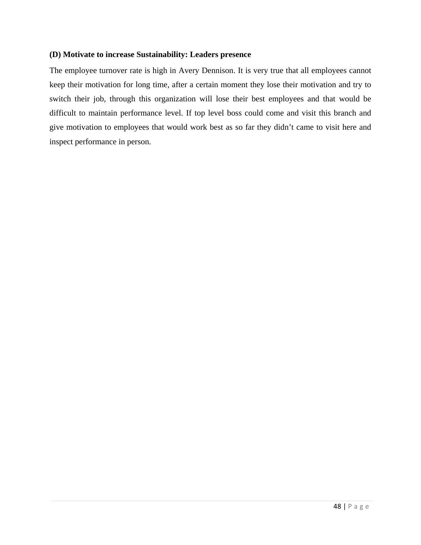#### **(D) Motivate to increase Sustainability: Leaders presence**

The employee turnover rate is high in Avery Dennison. It is very true that all employees cannot keep their motivation for long time, after a certain moment they lose their motivation and try to switch their job, through this organization will lose their best employees and that would be difficult to maintain performance level. If top level boss could come and visit this branch and give motivation to employees that would work best as so far they didn't came to visit here and inspect performance in person.